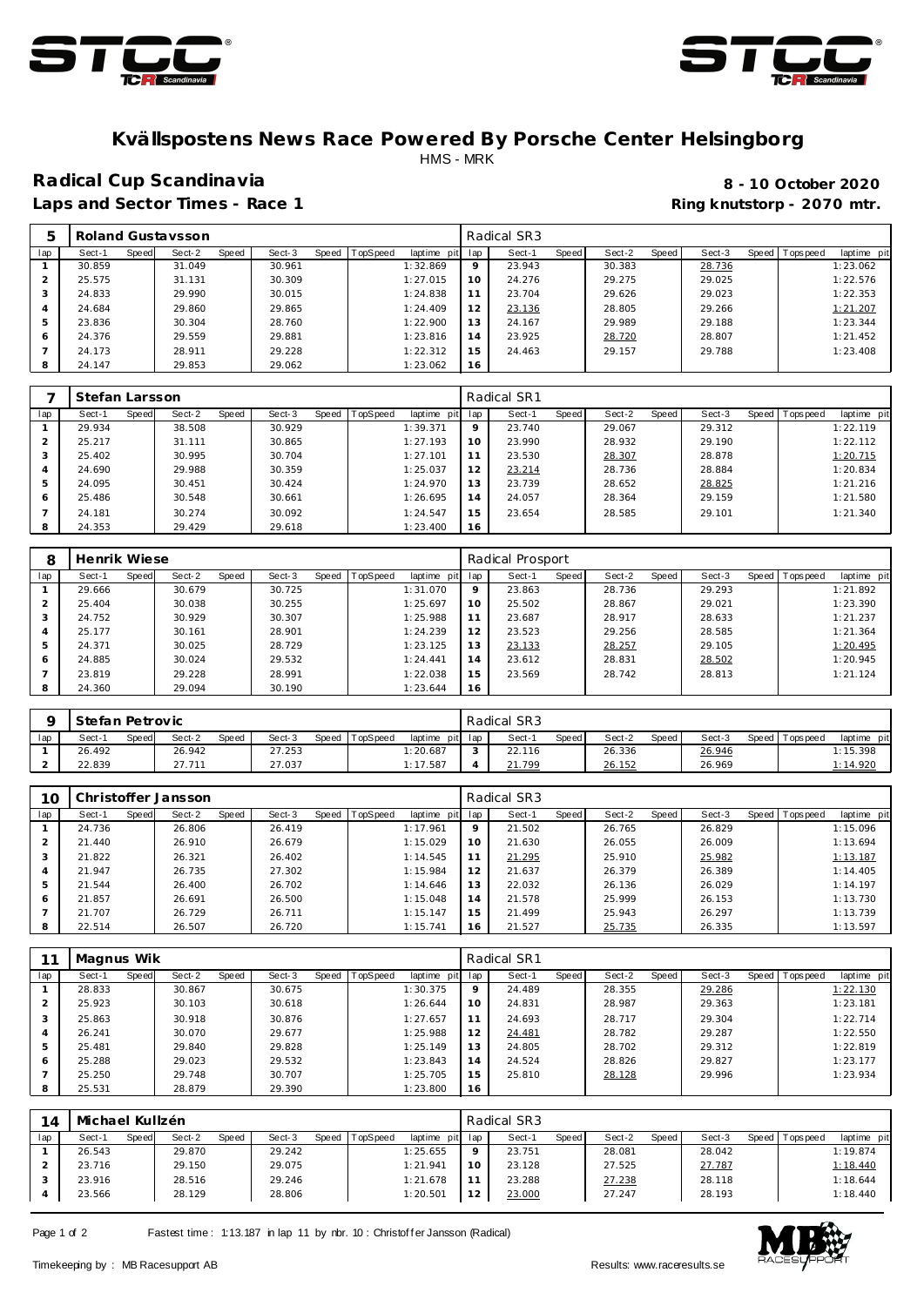



#### **Kvällspostens News Race Powered By Porsche Center Helsingborg** HMS - MRK

### **Radical Cup Scandinavia 8 - 10 October 2020**

# Laps and Sector Times - Race 1 **Ring and Sector Times - Ring knutstorp** - 2070 mtr.

| 5   |        |       | Roland Gustaysson |       |        |       |          |             |     | Radical SR3 |       |        |       |        |         |           |             |
|-----|--------|-------|-------------------|-------|--------|-------|----------|-------------|-----|-------------|-------|--------|-------|--------|---------|-----------|-------------|
| lap | Sect-1 | Speed | Sect-2            | Speed | Sect-3 | Speed | TopSpeed | laptime pit | lap | Sect-1      | Speed | Sect-2 | Speed | Sect-3 | Speed I | Tops peed | laptime pit |
|     | 30.859 |       | 31.049            |       | 30.961 |       |          | 1:32.869    |     | 23.943      |       | 30.383 |       | 28.736 |         |           | 1:23.062    |
|     | 25.575 |       | 31.131            |       | 30.309 |       |          | 1:27.015    | 10  | 24.276      |       | 29.275 |       | 29.025 |         |           | 1:22.576    |
| 3   | 24.833 |       | 29.990            |       | 30.015 |       |          | 1:24.838    |     | 23.704      |       | 29.626 |       | 29.023 |         |           | 1:22.353    |
| 4   | 24.684 |       | 29.860            |       | 29.865 |       |          | 1:24.409    | 12  | 23.136      |       | 28.805 |       | 29.266 |         |           | 1:21.207    |
| .5  | 23.836 |       | 30.304            |       | 28.760 |       |          | 1:22.900    | 13  | 24.167      |       | 29.989 |       | 29.188 |         |           | 1:23.344    |
| 6   | 24.376 |       | 29.559            |       | 29.881 |       |          | 1:23.816    | 14  | 23.925      |       | 28.720 |       | 28.807 |         |           | 1:21.452    |
|     | 24.173 |       | 28.911            |       | 29.228 |       |          | 1:22.312    | 15  | 24.463      |       | 29.157 |       | 29.788 |         |           | 1:23.408    |
| 8   | 24.147 |       | 29.853            |       | 29.062 |       |          | 1:23.062    | 16  |             |       |        |       |        |         |           |             |

|     | Stefan Larsson |       |        |       |        |       |          |                 |         | Radical SR1 |       |        |       |        |       |           |             |
|-----|----------------|-------|--------|-------|--------|-------|----------|-----------------|---------|-------------|-------|--------|-------|--------|-------|-----------|-------------|
| lap | Sect-1         | Speed | Sect-2 | Speed | Sect-3 | Speed | TopSpeed | laptime pit lap |         | Sect-1      | Speed | Sect-2 | Speed | Sect-3 | Speed | Tops peed | laptime pit |
|     | 29.934         |       | 38.508 |       | 30.929 |       |          | 1:39.371        | $\circ$ | 23.740      |       | 29.067 |       | 29.312 |       |           | 1:22.119    |
|     | 25.217         |       | 31.111 |       | 30.865 |       |          | 1:27.193        | 10      | 23.990      |       | 28.932 |       | 29.190 |       |           | 1:22.112    |
| 3   | 25.402         |       | 30.995 |       | 30.704 |       |          | 1:27.101        | 11      | 23.530      |       | 28.307 |       | 28.878 |       |           | 1:20.715    |
| 4   | 24.690         |       | 29.988 |       | 30.359 |       |          | 1:25.037        | 12      | 23.214      |       | 28.736 |       | 28.884 |       |           | 1:20.834    |
| .5  | 24.095         |       | 30.451 |       | 30.424 |       |          | 1:24.970        | 13      | 23.739      |       | 28.652 |       | 28.825 |       |           | 1:21.216    |
| 6   | 25.486         |       | 30.548 |       | 30.661 |       |          | 1:26.695        | 14      | 24.057      |       | 28.364 |       | 29.159 |       |           | 1:21.580    |
|     | 24.181         |       | 30.274 |       | 30.092 |       |          | 1:24.547        | 15      | 23.654      |       | 28.585 |       | 29.101 |       |           | 1:21.340    |
| 8   | 24.353         |       | 29.429 |       | 29.618 |       |          | 1:23.400        | 16      |             |       |        |       |        |       |           |             |

| 8       | Henrik Wiese |       |        |       |        |       |          |                |     | Radical Prosport |       |        |       |        |       |           |             |
|---------|--------------|-------|--------|-------|--------|-------|----------|----------------|-----|------------------|-------|--------|-------|--------|-------|-----------|-------------|
| lap     | Sect-1       | Speed | Sect-2 | Speed | Sect-3 | Speed | TopSpeed | laptime<br>pit | lap | Sect-1           | Speed | Sect-2 | Speed | Sect-3 | Speed | Tops peed | laptime pit |
|         | 29.666       |       | 30.679 |       | 30.725 |       |          | 1:31.070       | 9   | 23.863           |       | 28.736 |       | 29.293 |       |           | 1:21.892    |
|         | 25.404       |       | 30.038 |       | 30.255 |       |          | 1:25.697       | 10  | 25.502           |       | 28.867 |       | 29.021 |       |           | 1:23.390    |
| $\cdot$ | 24.752       |       | 30.929 |       | 30.307 |       |          | 1:25.988       | 11  | 23.687           |       | 28.917 |       | 28.633 |       |           | 1:21.237    |
|         | 25.177       |       | 30.161 |       | 28.901 |       |          | 1:24.239       | 12  | 23.523           |       | 29.256 |       | 28.585 |       |           | 1:21.364    |
| 5       | 24.371       |       | 30.025 |       | 28.729 |       |          | 1:23.125       | 13  | 23.133           |       | 28.257 |       | 29.105 |       |           | 1:20.495    |
| 6       | 24.885       |       | 30.024 |       | 29.532 |       |          | 1:24.441       | 14  | 23.612           |       | 28.831 |       | 28.502 |       |           | 1:20.945    |
|         | 23.819       |       | 29.228 |       | 28.991 |       |          | 1:22.038       | 15  | 23.569           |       | 28.742 |       | 28.813 |       |           | 1:21.124    |
| Õ       | 24.360       |       | 29.094 |       | 30.190 |       |          | 1:23.644       | 16  |                  |       |        |       |        |       |           |             |

|     | Stefan Petrovic |       |        |       |        |       |          |                 | Radical SR3 |              |        |       |        |                 |             |
|-----|-----------------|-------|--------|-------|--------|-------|----------|-----------------|-------------|--------------|--------|-------|--------|-----------------|-------------|
| lap | Sect-1          | Speed | Sect-2 | Speed | Sect-3 | Speed | TopSpeed | laptime pit lap | Sect-1      | <b>Speed</b> | Sect-2 | Speed | Sect-3 | Speed Tops peed | laptime pit |
|     | 26.492          |       | 26.942 |       | 27.253 |       |          | 1:20.687        | 22.116      |              | 26.336 |       | 26.946 |                 | 1:15.398    |
|     | 22.839          |       | 27.711 |       | 27.037 |       |          | 1:17.587        | 21.799      |              | 26.152 |       | 26.969 |                 | 1:14.920    |

| 10  |        |       | Christoffer Jansson |       |        |       |          |          |         | Radical SR3 |       |        |       |        |                   |             |
|-----|--------|-------|---------------------|-------|--------|-------|----------|----------|---------|-------------|-------|--------|-------|--------|-------------------|-------------|
| lap | Sect-1 | Speed | Sect-2              | Speed | Sect-3 | Speed | TopSpeed | laptime  | pit lap | Sect-1      | Speed | Sect-2 | Speed | Sect-3 | Speed   Tops peed | laptime pit |
|     | 24.736 |       | 26.806              |       | 26.419 |       |          | 1:17.961 | $\circ$ | 21.502      |       | 26.765 |       | 26.829 |                   | 1:15.096    |
|     | 21.440 |       | 26.910              |       | 26.679 |       |          | 1:15.029 | 10      | 21.630      |       | 26.055 |       | 26.009 |                   | 1:13.694    |
|     | 21.822 |       | 26.321              |       | 26.402 |       |          | 1:14.545 |         | 21.295      |       | 25.910 |       | 25.982 |                   | 1:13.187    |
|     | 21.947 |       | 26.735              |       | 27.302 |       |          | 1:15.984 | 12      | 21.637      |       | 26.379 |       | 26.389 |                   | 1:14.405    |
| 5   | 21.544 |       | 26.400              |       | 26.702 |       |          | 1:14.646 | 13      | 22.032      |       | 26.136 |       | 26.029 |                   | 1:14.197    |
| 6   | 21.857 |       | 26.691              |       | 26.500 |       |          | 1:15.048 | 14      | 21.578      |       | 25.999 |       | 26.153 |                   | 1:13.730    |
|     | 21.707 |       | 26.729              |       | 26.711 |       |          | 1:15.147 | 15      | 21.499      |       | 25.943 |       | 26.297 |                   | 1:13.739    |
| 8   | 22.514 |       | 26.507              |       | 26.720 |       |          | 1:15.741 | 16      | 21.527      |       | 25.735 |       | 26.335 |                   | 1:13.597    |

|                | Magnus Wik |       |        |       |        |                  |             |                 | Radical SR1 |       |        |       |        |       |                  |             |
|----------------|------------|-------|--------|-------|--------|------------------|-------------|-----------------|-------------|-------|--------|-------|--------|-------|------------------|-------------|
| lap            | Sect-1     | Speed | Sect-2 | Speed | Sect-3 | Speed   TopSpeed | laptime pit | lap             | Sect-1      | Speed | Sect-2 | Speed | Sect-3 | Speed | <b>Tops peed</b> | laptime pit |
|                | 28.833     |       | 30.867 |       | 30.675 |                  | 1:30.375    | 9               | 24.489      |       | 28.355 |       | 29.286 |       |                  | 1:22.130    |
|                | 25.923     |       | 30.103 |       | 30.618 |                  | 1:26.644    | 10 <sup>°</sup> | 24.831      |       | 28.987 |       | 29.363 |       |                  | 1:23.181    |
| 3              | 25.863     |       | 30.918 |       | 30.876 |                  | 1:27.657    | 11              | 24.693      |       | 28.717 |       | 29.304 |       |                  | 1:22.714    |
| $\overline{A}$ | 26.241     |       | 30.070 |       | 29.677 |                  | 1:25.988    | 12              | 24.481      |       | 28.782 |       | 29.287 |       |                  | 1:22.550    |
| 5              | 25.481     |       | 29.840 |       | 29.828 |                  | 1:25.149    | 13              | 24.805      |       | 28.702 |       | 29.312 |       |                  | 1:22.819    |
| 6              | 25.288     |       | 29.023 |       | 29.532 |                  | 1:23.843    | 14              | 24.524      |       | 28.826 |       | 29.827 |       |                  | 1:23.177    |
|                | 25.250     |       | 29.748 |       | 30.707 |                  | 1:25.705    | 15              | 25.810      |       | 28.128 |       | 29.996 |       |                  | 1:23.934    |
| 8              | 25.531     |       | 28.879 |       | 29.390 |                  | 1:23.800    | 16              |             |       |        |       |        |       |                  |             |

| 14  | Michael Kullzén |       |        |       |        |       |                 |             |     | Radical SR3 |       |        |       |        |         |          |             |
|-----|-----------------|-------|--------|-------|--------|-------|-----------------|-------------|-----|-------------|-------|--------|-------|--------|---------|----------|-------------|
| lap | Sect-1          | Speed | Sect-2 | Speed | Sect-3 | Speed | <b>TopSpeed</b> | laptime pit | lap | Sect-1      | Speed | Sect-2 | Speed | Sect-3 | Speed I | Topspeed | laptime pit |
|     | 26.543          |       | 29.870 |       | 29.242 |       |                 | 1:25.655    |     | 23.751      |       | 28.081 |       | 28.042 |         |          | 1:19.874    |
|     | 23.716          |       | 29.150 |       | 29.075 |       |                 | 1:21.941    |     | 23.128      |       | 27.525 |       | 27.787 |         |          | 1:18.440    |
|     | 23.916          |       | 28.516 |       | 29.246 |       |                 | 1:21.678    |     | 23.288      |       | 27.238 |       | 28.118 |         |          | 1:18.644    |
|     | 23.566          |       | 28.129 |       | 28.806 |       |                 | 1:20.501    | 12  | 23.000      |       | 27.247 |       | 28.193 |         |          | 1:18.440    |

Page 1 of 2 Fastest time: 1:13.187 in lap 11 by nbr. 10 : Christof f er Jansson (Radical)